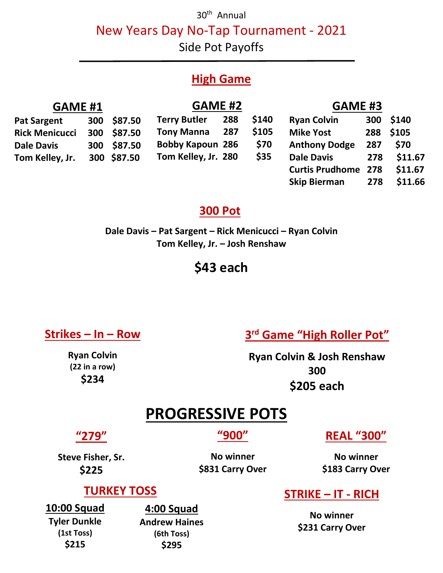30<sup>th</sup> Annual

New Years Day No-Tap Tournament - 2021

Side Pot Payoffs

#### **High Game**

| <b>GAME #1</b>        |     | <b>GAME #2</b> |                         |     | <b>GAME #3</b> |                            |     |           |
|-----------------------|-----|----------------|-------------------------|-----|----------------|----------------------------|-----|-----------|
| <b>Pat Sargent</b>    | 300 | \$87.50        | <b>Terry Butler</b>     | 288 | \$140          | <b>Ryan Colvin</b>         | 300 | \$140     |
| <b>Rick Menicucci</b> |     | 300 \$87.50    | <b>Tony Manna</b>       | 287 | \$105          | <b>Mike Yost</b>           |     | 288 \$105 |
| <b>Dale Davis</b>     |     | 300 \$87.50    | <b>Bobby Kapoun 286</b> |     | \$70           | <b>Anthony Dodge</b>       | 287 | \$70      |
| Tom Kelley, Jr.       |     | 300 \$87.50    | Tom Kelley, Jr. 280     |     | \$35           | <b>Dale Davis</b>          | 278 | \$11.67   |
|                       |     |                |                         |     |                | <b>Curtis Prudhome 278</b> |     | \$11.67   |
|                       |     |                |                         |     |                | <b>Skip Bierman</b>        | 278 | \$11.66   |

#### **300 Pot**

**Dale Davis – Pat Sargent – Rick Menicucci – Ryan Colvin Tom Kelley, Jr. – Josh Renshaw**

### **\$43 each**

#### **Strikes – In – Row**

**Ryan Colvin (22 in a row) \$234**

#### **3 rd Game "High Roller Pot"**

**Ryan Colvin & Josh Renshaw 300 \$205 each**

#### **PROGRESSIVE POTS**

#### **"279"**

**"900"**

**REAL "300"**

**Steve Fisher, Sr. \$225**

**No winner \$831 Carry Over**

**No winner \$183 Carry Over**

#### **TURKEY TOSS**

**10:00 Squad Tyler Dunkle (1st Toss) \$215**

**4:00 Squad Andrew Haines (6th Toss) \$295**

#### **STRIKE – IT - RICH**

**No winner \$231 Carry Over**